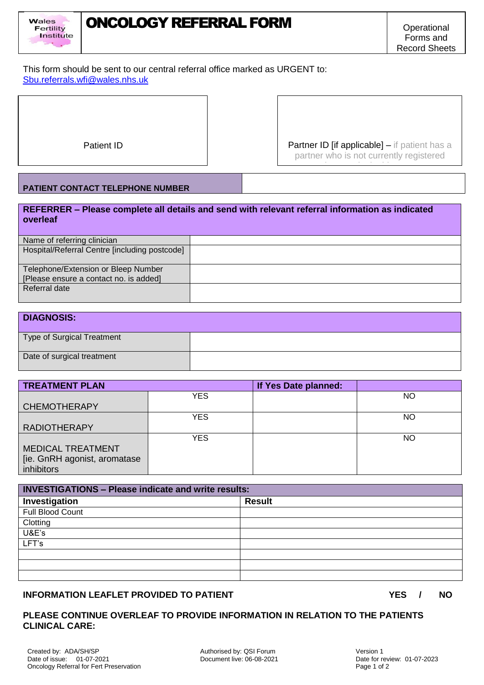



 $\overline{a}$ 

This form should be sent to our central referral office marked as URGENT to: [Sbu.referrals.wfi@wales.nhs.uk](mailto:Sbu.referrals.wfi@wales.nhs.uk)

Patient ID **Partner ID [if applicable]** – if patient has a partner who is not currently registered please write in this space was a space with the space of the space of the space of the space of the space of t

### **PATIENT CONTACT TELEPHONE NUMBER**

**REFERRER – Please complete all details and send with relevant referral information as indicated overleaf**

| Name of referring clinician                   |  |
|-----------------------------------------------|--|
| Hospital/Referral Centre [including postcode] |  |
| Telephone/Extension or Bleep Number           |  |
| [Please ensure a contact no. is added]        |  |
| Referral date                                 |  |

| <b>DIAGNOSIS:</b>          |  |
|----------------------------|--|
| Type of Surgical Treatment |  |
| Date of surgical treatment |  |

| <b>TREATMENT PLAN</b>         |            | If Yes Date planned: |           |
|-------------------------------|------------|----------------------|-----------|
|                               | YES        |                      | <b>NO</b> |
| <b>CHEMOTHERAPY</b>           |            |                      |           |
|                               | YES        |                      | <b>NO</b> |
| <b>RADIOTHERAPY</b>           |            |                      |           |
|                               | <b>YES</b> |                      | NO.       |
| <b>MEDICAL TREATMENT</b>      |            |                      |           |
| [ie. GnRH agonist, aromatase] |            |                      |           |
| inhibitors                    |            |                      |           |

| <b>INVESTIGATIONS - Please indicate and write results:</b> |               |  |  |  |
|------------------------------------------------------------|---------------|--|--|--|
| Investigation                                              | <b>Result</b> |  |  |  |
| Full Blood Count                                           |               |  |  |  |
| Clotting                                                   |               |  |  |  |
| U&E's                                                      |               |  |  |  |
| LFT's                                                      |               |  |  |  |
|                                                            |               |  |  |  |
|                                                            |               |  |  |  |
|                                                            |               |  |  |  |

# **INFORMATION LEAFLET PROVIDED TO PATIENT YES / NO**

#### **PLEASE CONTINUE OVERLEAF TO PROVIDE INFORMATION IN RELATION TO THE PATIENTS CLINICAL CARE:**